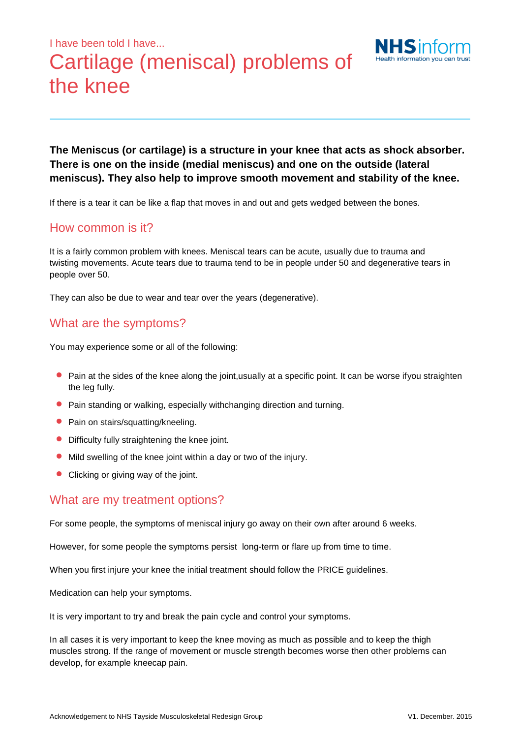# I have been told I have... Cartilage (meniscal) problems of the knee



**The Meniscus (or cartilage) is a structure in your knee that acts as shock absorber. There is one on the inside (medial meniscus) and one on the outside (lateral meniscus). They also help to improve smooth movement and stability of the knee.** 

If there is a tear it can be like a flap that moves in and out and gets wedged between the bones.

#### How common is it?

It is a fairly common problem with knees. Meniscal tears can be acute, usually due to trauma and twisting movements. Acute tears due to trauma tend to be in people under 50 and degenerative tears in people over 50.

They can also be due to wear and tear over the years (degenerative).

#### What are the symptoms?

You may experience some or all of the following:

- **P** Pain at the sides of the knee along the joint, usually at a specific point. It can be worse if you straighten the leg fully.
- Pain standing or walking, especially withchanging direction and turning.
- Pain on stairs/squatting/kneeling.
- Difficulty fully straightening the knee joint.
- Mild swelling of the knee joint within a day or two of the injury.
- Clicking or giving way of the joint.

#### What are my treatment options?

For some people, the symptoms of meniscal injury go away on their own after around 6 weeks.

However, for some people the symptoms persist long-term or flare up from time to time.

When you first injure your knee the initial treatment should follow the PRICE guidelines.

Medication can help your symptoms.

It is very important to try and break the pain cycle and control your symptoms.

In all cases it is very important to keep the knee moving as much as possible and to keep the thigh muscles strong. If the range of movement or muscle strength becomes worse then other problems can develop, for example kneecap pain.